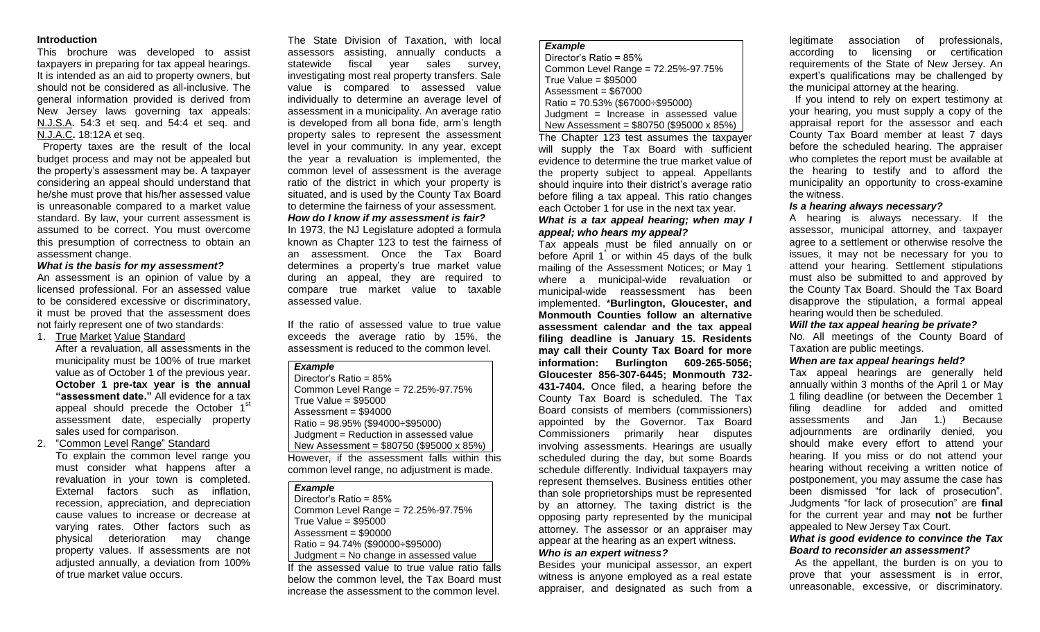#### **Introduction**

This brochure was developed to assist taxpayers in preparing for tax appeal hearings. It is intended as an aid to property owners, but should not be considered as all-inclusive. The general information provided is derived from New Jersey laws governing tax appeals: N.J.S.A**.** 54:3 et seq. and 54:4 et seq. and N.J.A.C**.** 18:12A et seq.

 Property taxes are the result of the local budget process and may not be appealed but the property's assessment may be. A taxpayer considering an appeal should understand that he/she must prove that his/her assessed value is unreasonable compared to a market value standard. By law, your current assessment is assumed to be correct. You must overcome this presumption of correctness to obtain an assessment change.

### *What is the basis for my assessment?*

An assessment is an opinion of value by a licensed professional. For an assessed value to be considered excessive or discriminatory, it must be proved that the assessment does not fairly represent one of two standards:

1. True Market Value Standard

After a revaluation, all assessments in the municipality must be 100% of true market value as of October 1 of the previous year. **October 1 pre-tax year is the annual "assessment date."** All evidence for a tax appeal should precede the October 1<sup>st</sup> assessment date, especially property sales used for comparison.

### 2. "Common Level Range" Standard

To explain the common level range you must consider what happens after a revaluation in your town is completed. External factors such as inflation, recession, appreciation, and depreciation cause values to increase or decrease at varying rates. Other factors such as physical deterioration may change property values. If assessments are not adjusted annually, a deviation from 100% of true market value occurs.

The State Division of Taxation, with local assessors assisting, annually conducts a statewide fiscal year sales survey, investigating most real property transfers. Sale value is compared to assessed value individually to determine an average level of assessment in a municipality. An average ratio is developed from all bona fide, arm's length property sales to represent the assessment level in your community. In any year, except the year a revaluation is implemented, the common level of assessment is the average ratio of the district in which your property is situated, and is used by the County Tax Board to determine the fairness of your assessment.

*How do I know if my assessment is fair?* In 1973, the NJ Legislature adopted a formula known as Chapter 123 to test the fairness of an assessment. Once the Tax Board determines a property's true market value during an appeal, they are required to compare true market value to taxable assessed value.

If the ratio of assessed value to true value exceeds the average ratio by 15%, the assessment is reduced to the common level.

#### *Example*

Director's Ratio = 85% Common Level Range = 72.25%-97.75% True Value = \$95000 Assessment = \$94000 Ratio = 98.95% (\$94000÷\$95000) Judgment = Reduction in assessed value New Assessment = \$80750 (\$95000 x 85%) However, if the assessment falls within this

common level range, no adjustment is made.

### *Example*

Director's Ratio = 85% Common Level Range = 72.25%-97.75% True Value = \$95000  $Assessment = $90000$ Ratio = 94.74% (\$90000÷\$95000) Judgment = No change in assessed value

If the assessed value to true value ratio falls below the common level, the Tax Board must increase the assessment to the common level.

#### *Example*

```
Director's Ratio = 85%
Common Level Range = 72.25%-97.75%
True Value = $95000
Assessment = $67000
Ratio = 70.53% ($67000÷$95000)
Judgment = Increase in assessed value
New Assessment = $80750 ($95000 x 85%)
```
The Chapter 123 test assumes the taxpayer will supply the Tax Board with sufficient evidence to determine the true market value of the property subject to appeal. Appellants should inquire into their district's average ratio before filing a tax appeal. This ratio changes each October 1 for use in the next tax year. *What is a tax appeal hearing; when may I* 

# *appeal; who hears my appeal?*

Tax appeals must be filed annually on or before April 1<sup>\*</sup> or within 45 days of the bulk mailing of the Assessment Notices; or May 1 where a municipal-wide revaluation or municipal-wide reassessment has been implemented. \***Burlington, Gloucester, and Monmouth Counties follow an alternative assessment calendar and the tax appeal filing deadline is January 15. Residents may call their County Tax Board for more information: Burlington 609-265-5056; Gloucester 856-307-6445; Monmouth 732- 431-7404.** Once filed, a hearing before the County Tax Board is scheduled. The Tax Board consists of members (commissioners) appointed by the Governor. Tax Board Commissioners primarily hear disputes involving assessments. Hearings are usually scheduled during the day, but some Boards schedule differently. Individual taxpayers may represent themselves. Business entities other than sole proprietorships must be represented by an attorney. The taxing district is the opposing party represented by the municipal attorney. The assessor or an appraiser may appear at the hearing as an expert witness. *Who is an expert witness?*

Besides your municipal assessor, an expert witness is anyone employed as a real estate appraiser, and designated as such from a

legitimate association of professionals, according to licensing or certification requirements of the State of New Jersey. An expert's qualifications may be challenged by the municipal attorney at the hearing.

 If you intend to rely on expert testimony at your hearing, you must supply a copy of the appraisal report for the assessor and each County Tax Board member at least 7 days before the scheduled hearing. The appraiser who completes the report must be available at the hearing to testify and to afford the municipality an opportunity to cross-examine the witness.

### *Is a hearing always necessary?*

A hearing is always necessary. If the assessor, municipal attorney, and taxpayer agree to a settlement or otherwise resolve the issues, it may not be necessary for you to attend your hearing. Settlement stipulations must also be submitted to and approved by the County Tax Board. Should the Tax Board disapprove the stipulation, a formal appeal hearing would then be scheduled.

#### *Will the tax appeal hearing be private?*

No. All meetings of the County Board of Taxation are public meetings.

### *When are tax appeal hearings held?*

Tax appeal hearings are generally held annually within 3 months of the April 1 or May 1 filing deadline (or between the December 1 filing deadline for added and omitted assessments and Jan 1.) Because adjournments are ordinarily denied, you should make every effort to attend your hearing. If you miss or do not attend your hearing without receiving a written notice of postponement, you may assume the case has been dismissed "for lack of prosecution". Judgments "for lack of prosecution" are **final** for the current year and may **not** be further appealed to New Jersey Tax Court.

### *What is good evidence to convince the Tax Board to reconsider an assessment?*

 As the appellant, the burden is on you to prove that your assessment is in error, unreasonable, excessive, or discriminatory.